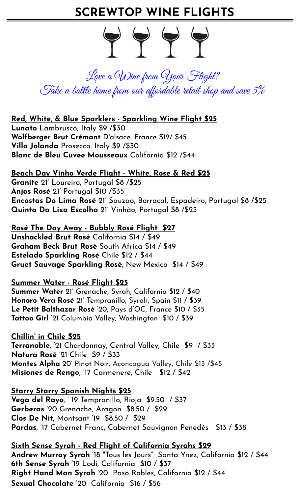# **SCREWTOP WINE FLIGHTS**



Love a Wine from Your Flight? Take a bottle home from our affordable retail shop and save  $5\%$ 

# **Red, White, & Blue Sparklers - Sparkling Wine Flight \$25**

**Lunato** Lambrusco, Italy \$9 /\$30 **Wolfberger Brut Crémant** D'alsace, France \$12/ \$45 **Villa Jolanda** Prosecco, Italy \$9 /\$30 **Blanc de Bleu Cuvee Mousseaux** California \$12 /\$44

# **Beach Day Vinho Verde Flight - White, Rose & Red \$25**

**Granite** 21' Loureiro, Portugal \$8 /\$25 **Anjos Rosé** 21' Portugal \$10 /\$35 **Encostas Do Lima Rosé** 21' Sauzao, Borracal, Espadeiro, Portugal \$8 /\$25 **Quinta Da Lixa Escolha** 21' Vinhão, Portugal \$8 /\$25

**Rosé The Day Away - Bubbly Rosé Flight \$27 Unshackled Brut Rosé** California \$14 / \$49 **Graham Beck Brut Rosé** South Africa \$14 / \$49 **Estelado Sparkling Rosé** Chile \$12 / \$44 **Gruet Sauvage Sparkling Rosé**, New Mexico \$14 / \$49

# **Summer Water - Rosé Flight \$25**

**Summer Water** 21' Grenache, Syrah, California \$12 / \$40 **Honoro Vera Rosé** 21' Tempranillo, Syrah, Spain \$11 / \$39 **Le Petit Balthazar Rosé** '20, Pays d'OC, France \$10 / \$35 **Tattoo Girl** '21 Columbia Valley, Washington \$10 / \$39

**Chillin' in Chile \$25 Terranoble**, '21 Chardonnay, Central Valley, Chile \$9 / \$33 **Natura Rosé** '21 Chile \$9 / \$33 **Montes Alpha** 20' Pinot Noir, Aconcagua Valley, Chile \$13 /\$45 **Misiones de Rengo**, '17 Carmenere, Chile \$12 / \$42

# **Starry Starry Spanish Nights \$25**

**Vega del Rayo**, ' 19 Tempranillo, Rioja \$9.50 / \$37 **Gerberas** '20 Grenache, Aragon \$8.50 / \$29 **Clos De Nit**, Montsant '19 \$8.50 / \$29 **Pardas**, '17 Cabernet Franc, Cabernet Sauvignon Penedés \$13 / \$38

**Sixth Sense Syrah - Red Flight of California Syrahs \$29 Andrew Murray Syrah** '18 "Tous les Jours" Santa Ynez, California \$12 / \$44 **6th Sense Syrah** '19 Lodi, California \$10 / \$37 **Right Hand Man Syrah** '20 Paso Robles, California \$12 / \$44 **Sexual Chocolate** '20 California \$16 / \$56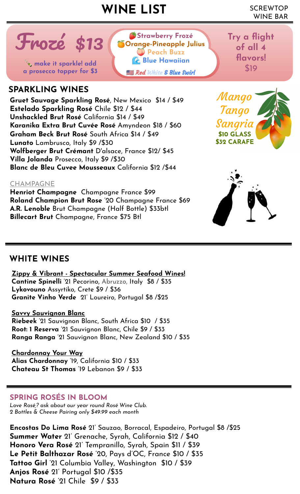# SCREWTOP **WINE LIST** WINE BAR

**Strawberry Frozé Orange-Pineapple Julius Peach Buzz Blue Hawaiian**

Red White & Blue Swirl



**a** prosecco topper for \$3 **a** *a community sparkle!* add a prosecco topper for \$3

# **SPARKLING WINES**

**Gruet Sauvage Sparkling Rosé**, New Mexico \$14 / \$49 **Estelado Sparkling Rosé** Chile \$12 / \$44 **Unshackled Brut Rosé** California \$14 / \$49 **Karanika Extra Brut Cuvée Rosé** Amyndeon \$18 / \$60 **Graham Beck Brut Rosé** South Africa \$14 / \$49 **Lunato** Lambrusco, Italy \$9 /\$30 **Wolfberger Brut Crémant** D'alsace, France \$12/ \$45 **Villa Jolanda** Prosecco, Italy \$9 /\$30 **Blanc de Bleu Cuvee Mousseaux** California \$12 /\$44



**Try a flight** 

**of all 4** 

**flavors!** 



**\$10 GLASS \$32 CARAFE**

### CHAMPAGNE

**Henriot Champagne** Champagne France \$99 **Roland Champion Brut Rose** '20 Champagne France \$69 **A.R. Lenoble** Brut Champagne (Half Bottle) \$33btl **Billecart Brut** Champagne, France \$75 Btl

# **WHITE WINES**

**Zippy & Vibrant - Spectacular Summer Seafood Wines! Cantine Spinelli** '21 Pecorino, Abruzzo, Italy \$8 / \$35 **Lykovouno** Assyrtiko, Crete \$9 / \$36

**Granite Vinho Verde** 21' Loureiro, Portugal \$8 /\$25

### **Savvy Sauvignon Blanc**

**Riebeek** '21 Sauvignon Blanc, South Africa \$10 / \$35 **Root: 1 Reserva** '21 Sauvignon Blanc, Chile \$9 / \$33 **Ranga Ranga** '21 Sauvignon Blanc, New Zealand \$10 / \$35

**Chardonnay Your Way Alias Chardonnay** '19, California \$10 / \$33 **Chateau St Thomas** '19 Lebanon \$9 / \$33

### **SPRING ROSÉS IN BLOOM**

*Love Rosé,? ask about our year round Rosé Wine Club. 2 Bottles & Cheese Pairing only \$49.99 each month* 

**Encostas Do Lima Rosé** 21' Sauzao, Borracal, Espadeiro, Portugal \$8 /\$25 **Summer Water** 21' Grenache, Syrah, California \$12 / \$40 **Honoro Vera Rosé** 21' Tempranillo, Syrah, Spain \$11 / \$39 **Le Petit Balthazar Rosé** '20, Pays d'OC, France \$10 / \$35 **Tattoo Girl** '21 Columbia Valley, Washington \$10 / \$39 **Anjos Rosé** 21' Portugal \$10 /\$35 **Natura Rosé** '21 Chile \$9 / \$33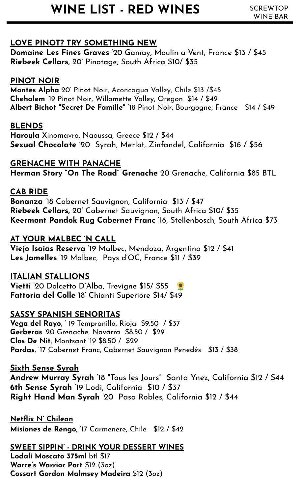# WINE LIST - RED WINES SCREWTOP

# **LOVE PINOT? TRY SOMETHING NEW**

**Domaine Les Fines Graves** '20 Gamay, Moulin a Vent, France \$13 / \$45 **Riebeek Cellars,** 20' Pinotage, South Africa \$10/ \$35

# **PINOT NOIR**

**Montes Alpha** 20' Pinot Noir, Aconcagua Valley, Chile \$13 /\$45 **Chehalem** '19 Pinot Noir, Willamette Valley, Oregon \$14 / \$49 **Albert Bichot "Secret De Famille"** '18 Pinot Noir, Bourgogne, France \$14 / \$49

# **BLENDS**

**Haroula** Xinomavro, Naoussa, Greece \$12 / \$44 **Sexual Chocolate** '20 Syrah, Merlot, Zinfandel, California \$16 / \$56

# **GRENACHE WITH PANACHE**

**Herman Story "On The Road" Grenache** 20 Grenache, California \$85 BTL

# **CAB RIDE**

**Bonanza** '18 Cabernet Sauvignon, California \$13 / \$47 **Riebeek Cellars,** 20' Cabernet Sauvignon, South Africa \$10/ \$35 **Keermont Pandok Rug Cabernet Franc '**16, Stellenbosch, South Africa \$73

# **AT YOUR MALBEC 'N CALL**

**Viejo Isaias Reserva** '19 Malbec, Mendoza, Argentina \$12 / \$41 **Les Jamelles** '19 Malbec, Pays d'OC, France \$11 / \$39

# **ITALIAN STALLIONS**

**Vietti** '20 Dolcetto D'Alba, Trevigne \$15/ \$55 **Fattoria del Colle** 18' Chianti Superiore \$14/ \$49

# **SASSY SPANISH SENORITAS**

**Vega del Rayo**, ' 19 Tempranillo, Rioja \$9.50 / \$37 **Gerberas** '20 Grenache, Navarra \$8.50 / \$29 **Clos De Nit**, Montsant '19 \$8.50 / \$29 **Pardas**, '17 Cabernet Franc, Cabernet Sauvignon Penedés \$13 / \$38

# **Sixth Sense Syrah**

**Andrew Murray Syrah** '18 "Tous les Jours" Santa Ynez, California \$12 / \$44 **6th Sense Syrah** '19 Lodi, California \$10 / \$37 **Right Hand Man Syrah** '20 Paso Robles, California \$12 / \$44

**Netflix N' Chilean Misiones de Rengo**, '17 Carmenere, Chile \$12 / \$42

**SWEET SIPPIN' - DRINK YOUR DESSERT WINES Lodali Moscato 375ml** btl \$17 **Warre's Warrior Port** \$12 (3oz) **Cossart Gordon Malmsey Madeira** \$12 (3oz)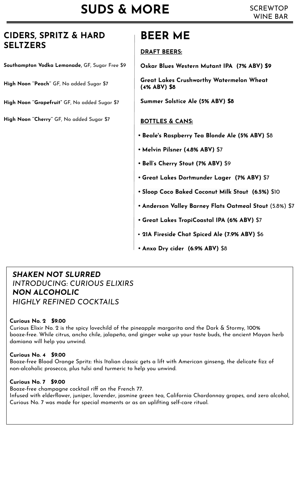# **CIDERS, SPRITZ & HARD SELTZERS**

**Southampton Vodka Lemonade,** GF, Sugar Free \$9

**High Noon ''Peach''** GF, No added Sugar \$7

**High Noon ''Grapefruit"** GF, No added Sugar \$7

**High Noon ''Cherry''** GF, No added Sugar \$7

# **BEER ME**

### **DRAFT BEERS:**

**Oskar Blues Western Mutant IPA (7% ABV) \$9**

**Great Lakes Crushworthy Watermelon Wheat (4% ABV) \$8**

**Summer Solstice Ale (5% ABV) \$8**

### **BOTTLES & CANS:**

- **• Beale's Raspberry Tea Blonde Ale (5% ABV)** \$8
- **• Melvin Pilsner (4.8% ABV)** \$7
- **• Bell's Cherry Stout (7% ABV)** \$9
- **• Great Lakes Dortmunder Lager (7% ABV)** \$7
- **• [Sloop Coco Baked Coconut Milk Stout](https://screwtopwinebar.revelup.com/menu/products/30585/detail/?expand_inventory=true) (6.5%)** \$10
- **• Anderson Valley Barney Flats Oatmeal Stout** (5.8%) \$7
- **• Great Lakes TropiCoastal IPA (6% ABV)** \$7
- • **21A Fireside Chat Spiced Ale (7.9% ABV)** \$6
- **• Anxo Dry cider (6.9% ABV)** \$8

### *SHAKEN NOT SLURRED INTRODUCING: CURIOUS ELIXIRS NON ALCOHOLIC HIGHLY REFINED COCKTAILS*

### **Curious No. 2 \$9.00**

Curious Elixir No. 2 is the spicy lovechild of the pineapple margarita and the Dark & Stormy, 100% booze-free. While citrus, ancho chile, jalapeño, and ginger wake up your taste buds, the ancient Mayan herb damiana will help you unwind.

### **Curious No. 4 \$9.00**

Booze-free Blood Orange Spritz: this Italian classic gets a lift with American ginseng, the delicate fizz of non-alcoholic prosecco, plus tulsi and turmeric to help you unwind.

### **Curious No. 7 \$9.00**

Booze-free champagne cocktail riff on the French 77. Infused with elderflower, juniper, lavender, jasmine green tea, California Chardonnay grapes, and zero alcohol, Curious No. 7 was made for special moments or as an uplifting self-care ritual.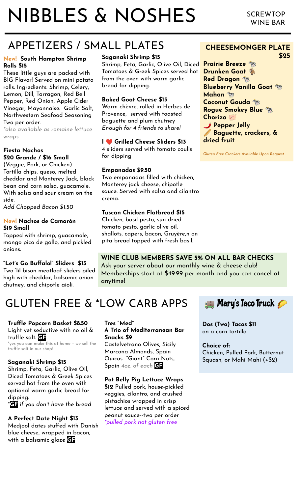# NIBBLES & NOSHES

# APPETIZERS / SMALL PLATES

### **New! South Hampton Shrimp Rolls \$15**

These little guys are packed with BIG Flavor! Served on mini potato rolls. Ingredients: Shrimp, Celery, Lemon, Dill, Tarragon, Red Bell Pepper, Red Onion, Apple Cider Vinegar, Mayonnaise. Garlic Salt, Northwestern Seafood Seasoning Two per order.

*\*also available as romaine lettuce wraps*

### **Fiesta Nachos \$20 Grande / \$16 Small**

(Veggie, Pork, or Chicken) Tortilla chips, queso, melted cheddar and Monterey Jack, black bean and corn salsa, guacamole. With salsa and sour cream on the side.

*Add Chopped Bacon \$1.50*

### **New! Nachos de Camarón \$19 Small**

Topped with shrimp, guacamole, mango pico de gallo, and pickled onions.

### **"Let's Go Buffalo!" Sliders \$13**

Two 'lil bison meatloaf sliders piled high with cheddar, balsamic onion chutney, and chipotle aioli.

# **Saganaki Shrimp \$15**

Shrimp, Feta, Garlic, Olive Oil, Diced Tomatoes & Greek Spices served hot from the oven with warm garlic bread for dipping.

### **Baked Goat Cheese \$15**

Warm chèvre, rolled in Herbes de Provence, served with toasted baguette and plum chutney *Enough for 4 friends to share!*

### **I** ❤ **Grilled Cheese Sliders \$13**

4 sliders served with tomato coulis for dipping

### **Empanadas \$9.50**

Two empanadas filled with chicken, Monterey jack cheese, chipotle sauce. Served with salsa and cilantro crema.

### **Tuscan Chicken Flatbread \$15**

Chicken, basil pesto, sun dried tomato pesto, garlic olive oil, shallots, capers, bacon, Gruyère,n on pita bread topped with fresh basil.

# **WINE CLUB MEMBERS SAVE 5% ON ALL BAR CHECKS**

Ask your server about our monthly wine & cheese club! Memberships start at \$49.99 per month and you can cancel at anytime!

# GLUTEN FREE & \*LOW CARB APPS

#### **Truffle Popcorn Basket \$8.50** Light yet seductive with no oil & truffle salt. **GF**

\*yes you can make this at home – we sell the truffle salt in our shop!

### **Saganaki Shrimp \$15**

Shrimp, Feta, Garlic, Olive Oil, Diced Tomatoes & Greek Spices served hot from the oven with optional warm garlic bread for dipping.

\***GF** *if you don't have the bread*

### **A Perfect Date Night \$13**

Medjool dates stuffed with Danish blue cheese, wrapped in bacon, with a balsamic glaze **GF**

#### **Tres "Med" A Trio of Mediterranean Bar Snacks \$9**

Castelvetrano Olives, Sicily Marcona Almonds, Spain Quicos "Giant" Corn Nuts, Spain *4oz. of each* **GF**

#### **Pot Belly Pig Lettuce Wraps \$12** Pulled pork, house-pickled veggies, cilantro, and crushed pistachios wrapped in crisp lettuce and served with a spiced peanut sauce--two per order

*\*pulled pork not gluten free*

# **Mary's Taco Truck**

**Dos (Two) Tacos \$11**  on a corn tortilla

**Choice of:** Chicken, Pulled Pork, Butternut Squash, or Mahi Mahi (+\$2)

### **CHEESEMONGER PLATE \$25**

**Prairie Breeze Drunken Goat Red Dragon Blueberry Vanilla Goat Mahon Coconut Gouda Rogue Smokey Blue Chorizo Pepper Jelly Baguette, crackers, & dried fruit**

*Gluten Free Crackers Available Upon Request*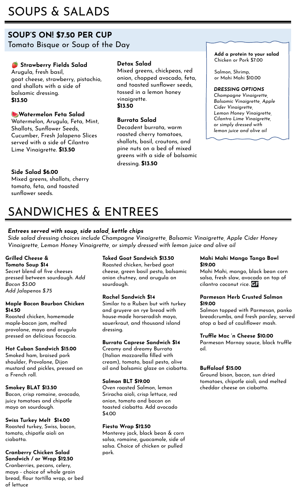# SOUPS & SALADS

### **SOUP'S ON! \$7.50 PER CUP** Tomato Bisque or Soup of the Day

### **Strawberry Fields Salad**

Arugula, fresh basil, goat cheese, strawberry, pistachio, and shallots with a side of balsamic dressing. **\$13.50**

### **Watermelon Feta Salad**

Watermelon, Arugula, Feta, Mint, Shallots, Sunflower Seeds, Cucumber, Fresh Jalapeno Slices served with a side of Cilantro Lime Vinaigrette. **\$13.50**

### **Side Salad \$6.00**

Mixed greens, shallots, cherry tomato, feta, and toasted sunflower seeds.

### **Detox Salad**

Mixed greens, chickpeas, red onion, chopped avocado, feta, and toasted sunflower seeds, tossed in a lemon honey vinaigrette. **\$13.50**

### **Burrata Salad**

Decadent burrata, warm roasted cherry tomatoes, shallots, basil, croutons, and pine nuts on a bed of mixed greens with a side of balsamic dressing. **\$13.50**

**Add a protein to your salad**  Chicken or Pork \$7.00

Salmon, Shrimp, or Mahi Mahi \$10.00

#### *DRESSING OPTIONS*

*Champagne Vinaigrette, Balsamic Vinaigrette, Apple Cider Vinaigrette, Lemon Honey Vinaigrette, Cilantro Lime Vinaigrette, or simply dressed with lemon juice and olive oil*

# SANDWICHES & ENTREES

### *Entrees served with soup, side salad, kettle chips*

*Side salad dressing choices include Champagne Vinaigrette, Balsamic Vinaigrette, Apple Cider Honey Vinaigrette, Lemon Honey Vinaigrette, or simply dressed with lemon juice and olive oil*

### **Grilled Cheese &**

**Tomato Soup \$14** Secret blend of five cheeses pressed between sourdough. *Add Bacon \$3.00 Add Jalapenos \$.75*

#### **Maple Bacon Bourbon Chicken \$14.50**

Roasted chicken, homemade maple-bacon jam, melted provolone, mayo and arugula pressed on delicious focaccia.

### **Hot Cuban Sandwich \$15.00**

Smoked ham, braised pork shoulder, Provolone, Dijon mustard and pickles, pressed on a French roll.

### **Smokey BLAT \$13.50**

Bacon, crisp romaine, avocado, juicy tomatoes and chipotle mayo on sourdough.

#### **Swiss Turkey Melt \$14.00** Roasted turkey, Swiss, bacon, tomato, chipotle aioli on ciabatta.

### **Cranberry Chicken Salad Sandwich / or Wrap \$12.50**

Cranberries, pecans, celery, mayo - choice of whole grain bread, flour tortilla wrap, or bed of lettuce

### **Toked Goat Sandwich \$13.50**

Roasted chicken, herbed goat cheese, green basil pesto, balsamic onion chutney, and arugula on sourdough.

### **Rachel Sandwich \$14**

Similar to a Ruben but with turkey and gruyere on rye bread with house-made horseradish mayo, sauerkraut, and thousand island dressing.

### **Burrata Caprese Sandwich \$14**

Creamy and dreamy Burrata (Italian mozzarella filled with cream), tomato, basil pesto, olive oil and balsamic glaze on ciabatta.

#### **Salmon BLT \$19.00**

Oven roasted Salmon, lemon Sriracha aioli, crisp lettuce, red onion, tomato and bacon on toasted ciabatta. Add avocado \$4.00

### **Fiesta Wrap \$12.50**

Monterey jack, black bean & corn salsa, romaine, guacamole, side of salsa. Choice of chicken or pulled pork.

### **Mahi Mahi Mango Tango Bowl \$19.00**

Mahi Mahi, mango, black bean corn salsa, fresh slaw, avocado on top of cilantro coconut rice. **GF**

#### **Parmesan Herb Crusted Salmon \$19.00**

Salmon topped with Parmesan, panko breadcrumbs, and fresh parsley, served atop a bed of cauliflower mash.

#### **Truffle Mac 'n Cheese \$10.00**

Parmesan Mornay sauce, black truffle oil.

### **Buffaloaf \$15.00**

Ground bison, bacon, sun dried tomatoes, chipotle aioli, and melted cheddar cheese on ciabatta.